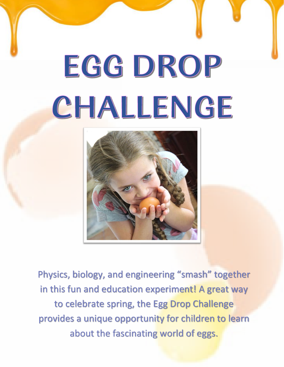# EGGDROP CHALLENGE



Physics, biology, and engineering "smash" together in this fun and education experiment! A great way to celebrate spring, the Egg Drop Challenge provides a unique opportunity for children to learn about the fascinating world of eggs.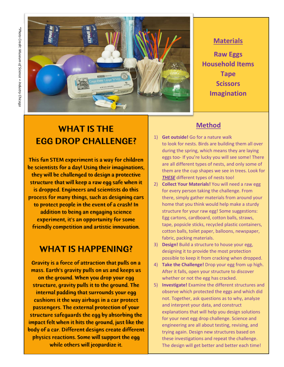

#### **Materials**

**Raw Eggs Household Items Tape Scissors Imagination**

# WHAT IS THE EGG DROP CHALLENGE?

This fun STEM experiment is a way for children be scientists for a day! Using their imaginations, they will be challenged to design a protective structure that will keep a raw egg safe when it is dropped. Engineers and scientists do this process for many things, such as designing cars to protect people in the event of a crash! In addition to being an engaging science experiment, it's an opportunity for some friendly competition and artistic innovation.

## WHAT IS HAPPENING?

Gravity is a force of attraction that pulls on a mass. Earth's gravity pulls on us and keeps us on the ground. When you drop your egg structure, gravity pulls it to the ground. The internal padding that surrounds your egg cushions it the way airbags in a car protect passengers. The external protection of your structure safeguards the egg by absorbing the impact felt when it hits the ground, just like the body of a car. Different designs create different physics reactions. Some will support the egg while others will jeopardize it.

## **Method**

- 1) **Get outside!** Go for a nature walk to look for nests. Birds are building them all over during the spring, which means they are laying eggs too- If you're lucky you will see some! There are all different types of nests, and only some of them are the cup shapes we see in trees. Look for *[THESE](https://kids.kiddle.co/Bird_nest)* different types of nests too!
- 2) **Collect Your Materials!** You will need a raw egg for every person taking the challenge. From there, simply gather materials from around your home that you think would help make a sturdy structure for your raw egg! Some suggestions: Egg cartons, cardboard, cotton balls, straws, tape, popsicle sticks, recycled plastic containers, cotton balls, toilet paper, balloons, newspaper, fabric, packing materials.
- 3) **Design!** Build a structure to house your egg, designing it to provide the most protection possible to keep it from cracking when dropped.
- 4) **Take the Challenge!** Drop your egg from up high. After it falls, open your structure to discover whether or not the egg has cracked.
- 5) **Investigate!** Examine the different structures and observe which protected the eggs and which did not. Together, ask questions as to why, analyze and interpret your data, and construct explanations that will help you design solutions for your next egg drop challenge. Science and engineering are all about testing, revising, and trying again. Design new structures based on these investigations and repeat the challenge. The design will get better and better each time!